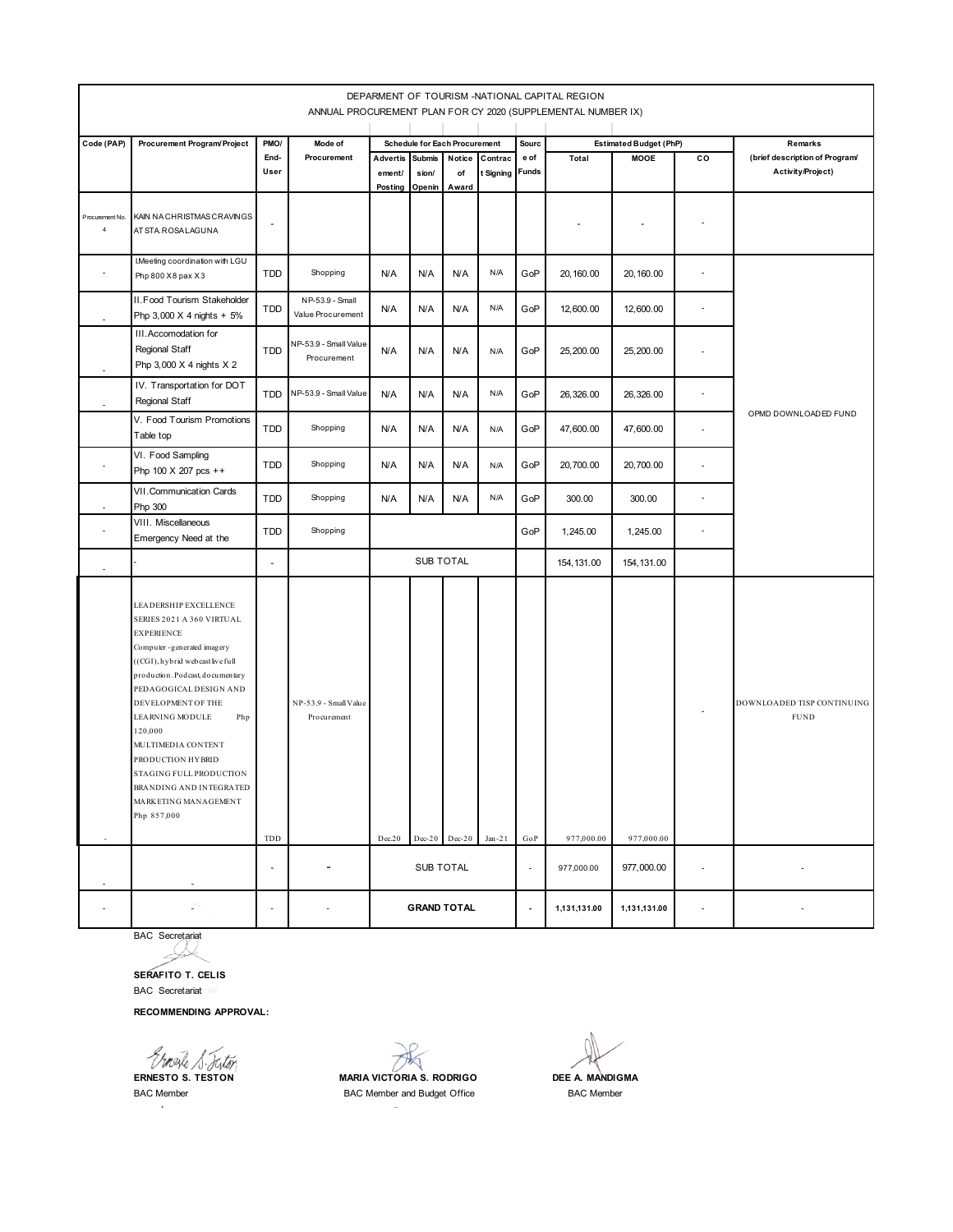| DEPARMENT OF TOURISM -NATIONAL CAPITAL REGION<br>ANNUAL PROCUREMENT PLAN FOR CY 2020 (SUPPLEMENTAL NUMBER IX) |                                                                                                                                                                                                                                                                                                                                                                                                                     |                      |                                      |                           |                 |                                                      |                      |                               |              |                                              |                |                                                                |  |  |
|---------------------------------------------------------------------------------------------------------------|---------------------------------------------------------------------------------------------------------------------------------------------------------------------------------------------------------------------------------------------------------------------------------------------------------------------------------------------------------------------------------------------------------------------|----------------------|--------------------------------------|---------------------------|-----------------|------------------------------------------------------|----------------------|-------------------------------|--------------|----------------------------------------------|----------------|----------------------------------------------------------------|--|--|
| Code (PAP)                                                                                                    | Procurement Program/Project                                                                                                                                                                                                                                                                                                                                                                                         | PMO/<br>End-<br>User | Mode of<br>Procurement               | <b>Advertis</b><br>ement/ | Submis<br>sion/ | <b>Schedule for Each Procurement</b><br>Notice<br>of | Contrac<br>t Signing | Sourc<br>e of<br><b>Funds</b> | Total        | <b>Estimated Budget (PhP)</b><br><b>MOOE</b> | co             | Remarks<br>(brief description of Program/<br>Activity/Project) |  |  |
| Procurement No.<br>$\overline{4}$                                                                             | KAIN NA CHRISTMAS CRAVINGS<br>AT STA ROSALAGUNA                                                                                                                                                                                                                                                                                                                                                                     |                      |                                      | Posting                   | Openin          | Award                                                |                      |                               |              |                                              |                |                                                                |  |  |
|                                                                                                               | I.Meeting coordination with LGU<br>Php 800 X8 pax X3                                                                                                                                                                                                                                                                                                                                                                | <b>TDD</b>           | Shopping                             | N/A                       | N/A             | N/A                                                  | N/A                  | GoP                           | 20, 160.00   | 20,160.00                                    |                |                                                                |  |  |
|                                                                                                               | II. Food Tourism Stakeholder<br>Php 3,000 X 4 nights + 5%                                                                                                                                                                                                                                                                                                                                                           | <b>TDD</b>           | NP-53.9 - Small<br>Value Procurement | N/A                       | N/A             | N/A                                                  | N/A                  | GoP                           | 12,600.00    | 12,600.00                                    | ä,             | OPMD DOWNLOADED FUND                                           |  |  |
|                                                                                                               | III.Accomodation for<br>Regional Staff<br>Php 3,000 X 4 nights X 2                                                                                                                                                                                                                                                                                                                                                  | <b>TDD</b>           | NP-53.9 - Small Value<br>Procurement | N/A                       | N/A             | N/A                                                  | N/A                  | GoP                           | 25,200.00    | 25,200.00                                    |                |                                                                |  |  |
|                                                                                                               | IV. Transportation for DOT<br>Regional Staff                                                                                                                                                                                                                                                                                                                                                                        | <b>TDD</b>           | NP-53.9 - Small Value                | N/A                       | N/A             | N/A                                                  | N/A                  | GoP                           | 26,326.00    | 26,326.00                                    | $\blacksquare$ |                                                                |  |  |
|                                                                                                               | V. Food Tourism Promotions<br>Table top                                                                                                                                                                                                                                                                                                                                                                             | TDD                  | Shopping                             | N/A                       | N/A             | N/A                                                  | N/A                  | GoP                           | 47,600.00    | 47,600.00                                    | ÷,             |                                                                |  |  |
| $\sim$                                                                                                        | VI. Food Sampling<br>Php 100 X 207 pcs ++                                                                                                                                                                                                                                                                                                                                                                           | <b>TDD</b>           | Shopping                             | N/A                       | N/A             | N/A                                                  | N/A                  | GoP                           | 20,700.00    | 20,700.00                                    | ä,             |                                                                |  |  |
| $\sim$                                                                                                        | VII. Communication Cards<br>Php 300                                                                                                                                                                                                                                                                                                                                                                                 | <b>TDD</b>           | Shopping                             | N/A                       | N/A             | N/A                                                  | N/A                  | GoP                           | 300.00       | 300.00                                       | ÷,             |                                                                |  |  |
|                                                                                                               | VIII. Miscellaneous<br>Emergency Need at the                                                                                                                                                                                                                                                                                                                                                                        | <b>TDD</b>           | Shopping                             |                           |                 |                                                      |                      | GoP                           | 1,245.00     | 1,245.00                                     | Ĭ.             |                                                                |  |  |
|                                                                                                               |                                                                                                                                                                                                                                                                                                                                                                                                                     | $\sim$               |                                      | <b>SUB TOTAL</b>          |                 |                                                      |                      | 154, 131.00                   | 154, 131.00  |                                              |                |                                                                |  |  |
| $\overline{\phantom{a}}$                                                                                      | LEADERSHIP EXCELLENCE<br>SERIES 2021 A 360 VIRTUAL<br><b>EXPERIENCE</b><br>Computer -generated imagery<br>((CGI), hybrid web cast live full<br>production. Podcast, documentary<br>PEDAGOGICAL DESIGN AND<br>DEVELOPMENT OF THE<br><b>LEARNING MODULE</b><br>Php<br>120,000<br>MULTIMEDIA CONTENT<br>PRODUCTION HYBRID<br>STAGING FULL PRODUCTION<br>BRANDING AND INTEGRATED<br>MARKETING MANAGEMENT<br>Php 857,000 | TDD                  | NP-53.9 - Small Value<br>Procurement | Dec.20                    |                 | $Dec-20$ $Dec-20$                                    | $Jan-21$             | GoP                           | 977,000.00   | 977,000.00                                   |                | DOWNLOADED TISP CONTINUING<br><b>FUND</b>                      |  |  |
|                                                                                                               |                                                                                                                                                                                                                                                                                                                                                                                                                     | $\blacksquare$       |                                      | SUB TOTAL                 |                 |                                                      | $\Box$               | 977,000.00                    | 977,000.00   | $\mathbb{Z}$                                 |                |                                                                |  |  |
|                                                                                                               | TS.                                                                                                                                                                                                                                                                                                                                                                                                                 | $\sim$               |                                      | <b>GRAND TOTAL</b>        |                 |                                                      | $\ddot{\phantom{a}}$ | 1,131,131.00                  | 1,131,131.00 | ÷,                                           |                |                                                                |  |  |

BAC Secretariat  $\cancel{\mathsf{B}}$ 

**SERAFITO T. CELIS**

BAC Secretariat

**RECOMMENDING APPROVAL:**

 $\mathcal{A}^{\mathrm{c}}$  .

BAC Member BAC Member and Budget Office BAC Member **ERNESTO S. TESTON MARIA VICTORIA S. RODRIGO**

 $\sim$ 

**DEE A. MANDIGMA**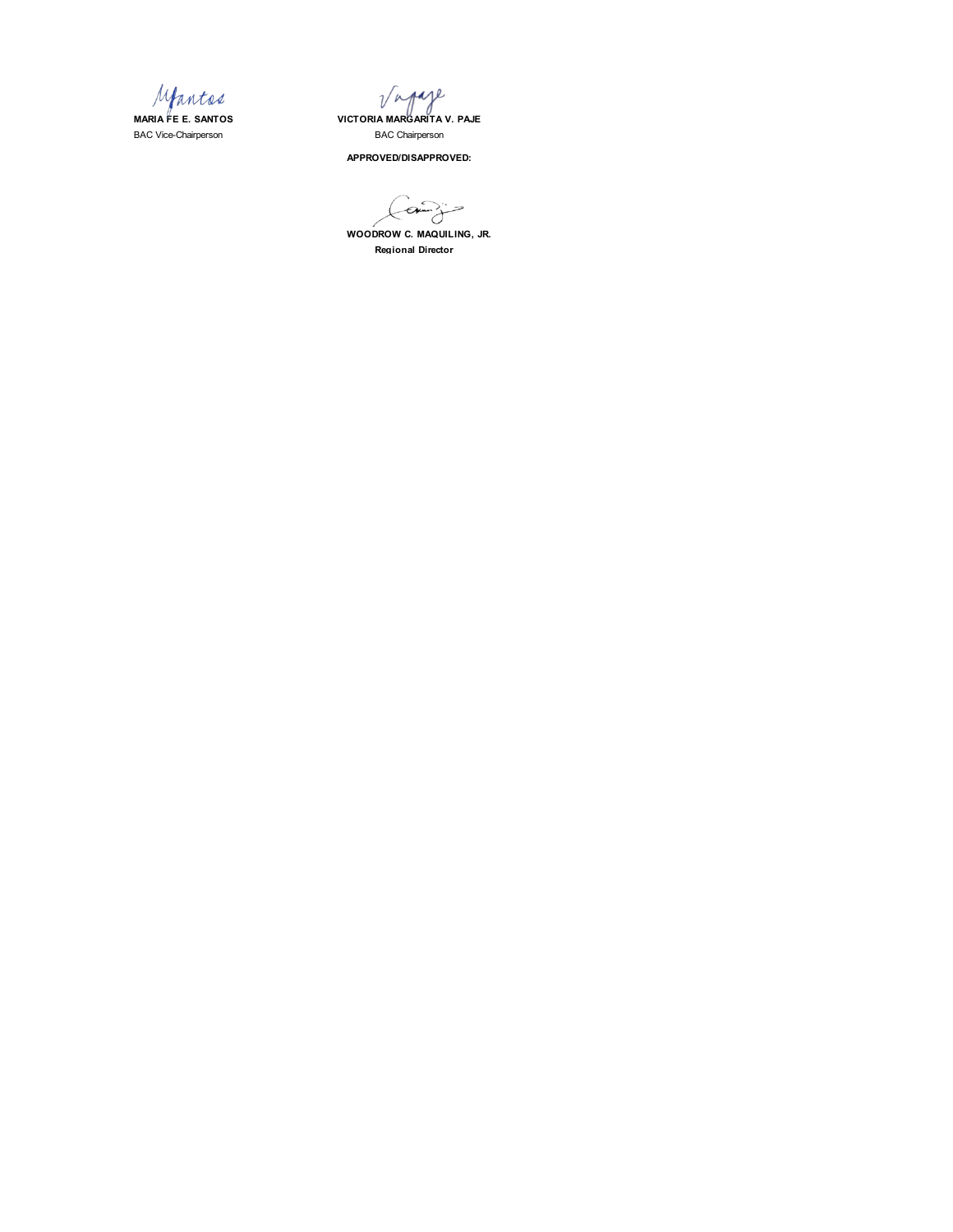Mantes

BAC Vice-Chairperson BAC Chairperson

**MARIA FE E. SANTOS VICTORIA MARGARITA V. PAJE**

**APPROVED/DISAPPROVED:**

Canija

**Regional Director WOODROW C. MAQUILING, JR.**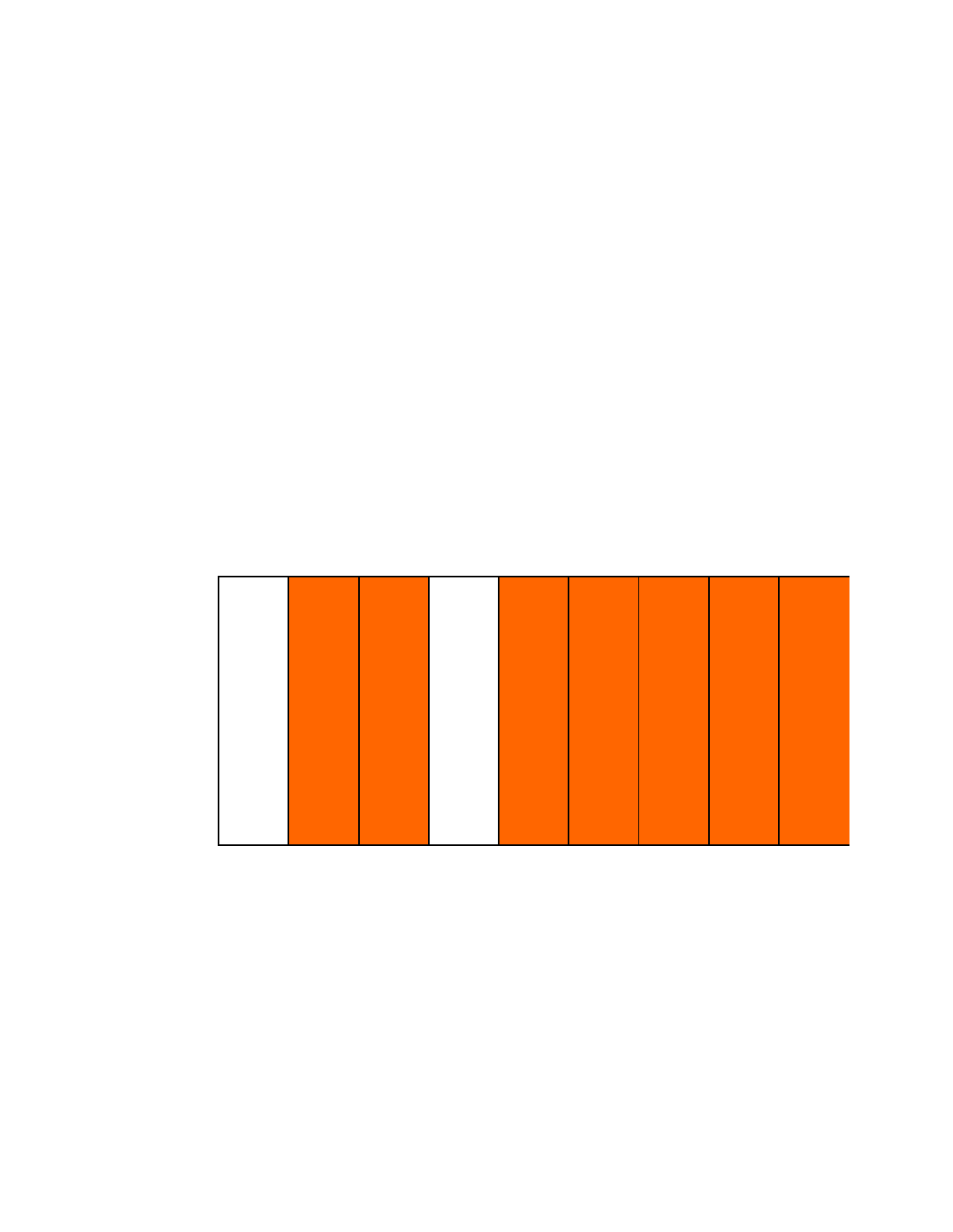